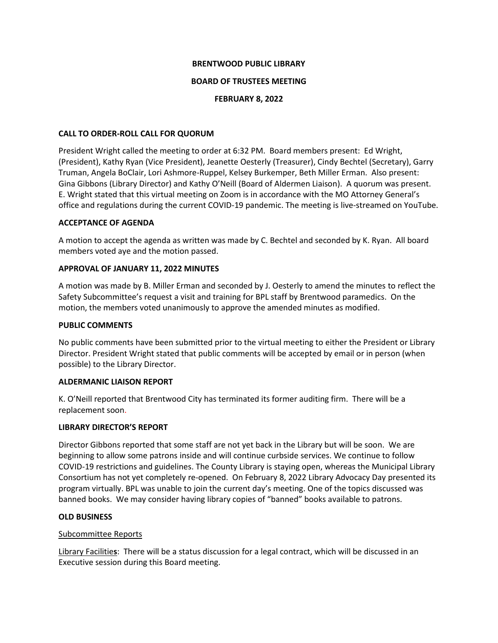### **BRENTWOOD PUBLIC LIBRARY**

### **BOARD OF TRUSTEES MEETING**

### **FEBRUARY 8, 2022**

### **CALL TO ORDER-ROLL CALL FOR QUORUM**

President Wright called the meeting to order at 6:32 PM. Board members present: Ed Wright, (President), Kathy Ryan (Vice President), Jeanette Oesterly (Treasurer), Cindy Bechtel (Secretary), Garry Truman, Angela BoClair, Lori Ashmore-Ruppel, Kelsey Burkemper, Beth Miller Erman. Also present: Gina Gibbons (Library Director) and Kathy O'Neill (Board of Aldermen Liaison). A quorum was present. E. Wright stated that this virtual meeting on Zoom is in accordance with the MO Attorney General's office and regulations during the current COVID-19 pandemic. The meeting is live-streamed on YouTube.

### **ACCEPTANCE OF AGENDA**

A motion to accept the agenda as written was made by C. Bechtel and seconded by K. Ryan. All board members voted aye and the motion passed.

# **APPROVAL OF JANUARY 11, 2022 MINUTES**

A motion was made by B. Miller Erman and seconded by J. Oesterly to amend the minutes to reflect the Safety Subcommittee's request a visit and training for BPL staff by Brentwood paramedics. On the motion, the members voted unanimously to approve the amended minutes as modified.

### **PUBLIC COMMENTS**

No public comments have been submitted prior to the virtual meeting to either the President or Library Director. President Wright stated that public comments will be accepted by email or in person (when possible) to the Library Director.

# **ALDERMANIC LIAISON REPORT**

K. O'Neill reported that Brentwood City has terminated its former auditing firm. There will be a replacement soon.

# **LIBRARY DIRECTOR'S REPORT**

Director Gibbons reported that some staff are not yet back in the Library but will be soon. We are beginning to allow some patrons inside and will continue curbside services. We continue to follow COVID-19 restrictions and guidelines. The County Library is staying open, whereas the Municipal Library Consortium has not yet completely re-opened. On February 8, 2022 Library Advocacy Day presented its program virtually. BPL was unable to join the current day's meeting. One of the topics discussed was banned books. We may consider having library copies of "banned" books available to patrons.

#### **OLD BUSINESS**

#### Subcommittee Reports

Library Facilitie**s**: There will be a status discussion for a legal contract, which will be discussed in an Executive session during this Board meeting.